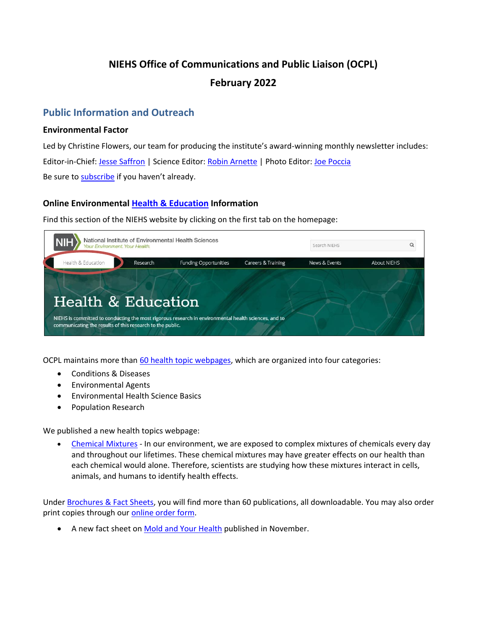# **NIEHS Office of Communications and Public Liaison (OCPL) February 2022**

# **Public Information and Outreach**

## **Environmental Factor**

Led by Christine Flowers, our team for producing the institute's award-winning monthly newsletter includes: Editor-in-Chief: [Jesse Saffron |](mailto:jesse.saffron@nih.gov) Science Editor: [Robin Arnette](mailto:arnetter@niehs.nih.gov) | Photo Editor: [Joe Poccia](mailto:joseph.poccia@nih.gov)  Be sure to [subscribe](https://factor.niehs.nih.gov/subscribe-newsletter.cfm) if you haven't already.

## **Online Environmental [Health & Education](https://www.niehs.nih.gov/health/index.cfm) Information**

Find this section of the NIEHS website by clicking on the first tab on the homepage:



OCPL maintains more tha[n 60 health topic webpages,](https://www.niehs.nih.gov/health/topics/index.cfm) which are organized into four categories:

- Conditions & Diseases
- Environmental Agents
- Environmental Health Science Basics
- Population Research

We published a new health topics webpage:

• [Chemical Mixtures](https://www.niehs.nih.gov/health/topics/science/chemical-mixtures/index.cfm) - In our environment, we are exposed to complex mixtures of chemicals every day and throughout our lifetimes. These chemical mixtures may have greater effects on our health than each chemical would alone. Therefore, scientists are studying how these mixtures interact in cells, animals, and humans to identify health effects.

Under [Brochures & Fact Sheets,](https://www.niehs.nih.gov/health/materials/index.cfm) you will find more than 60 publications, all downloadable. You may also order print copies through our [online order form.](https://www.niehs.nih.gov/about/od/ocpl/contact/?select=education_materials)

• A new fact sheet on [Mold and Your Health p](https://www.niehs.nih.gov/health/materials/mold_508.pdf)ublished in November.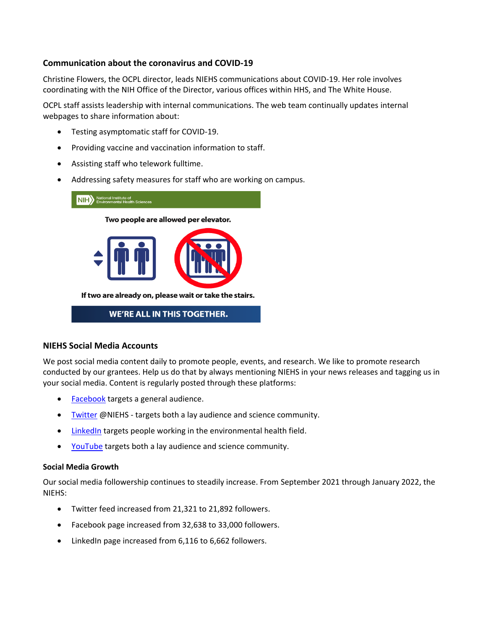## **Communication about the coronavirus and COVID-19**

Christine Flowers, the OCPL director, leads NIEHS communications about COVID-19. Her role involves coordinating with the NIH Office of the Director, various offices within HHS, and The White House.

OCPL staff assists leadership with internal communications. The web team continually updates internal webpages to share information about:

- Testing asymptomatic staff for COVID-19.
- Providing vaccine and vaccination information to staff.
- Assisting staff who telework fulltime.
- Addressing safety measures for staff who are working on campus.



# **WE'RE ALL IN THIS TOGETHER.**

#### **NIEHS Social Media Accounts**

We post social media content daily to promote people, events, and research. We like to promote research conducted by our grantees. Help us do that by always mentioning NIEHS in your news releases and tagging us in your social media. Content is regularly posted through these platforms:

- [Facebook](https://www.facebook.com/NIH.NIEHS) targets a general audience.
- [Twitter @](https://twitter.com/niehs)NIEHS targets both a lay audience and science community.
- [LinkedIn](https://www.linkedin.com/company/national-institute-of-environmental-health-sciences-niehs-) targets people working in the environmental health field.
- [YouTube t](https://www.youtube.com/channel/UCxg2OdLAFrKlSDCI0Yjgwsg)argets both a lay audience and science community.

#### **Social Media Growth**

Our social media followership continues to steadily increase. From September 2021 through January 2022, the NIEHS:

- Twitter feed increased from 21,321 to 21,892 followers.
- Facebook page increased from 32,638 to 33,000 followers.
- LinkedIn page increased from 6,116 to 6,662 followers.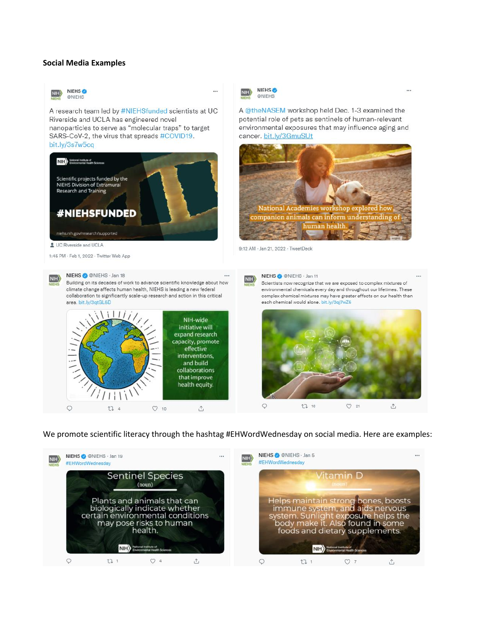#### **Social Media Examples**



#### We promote scientific literacy through the hashtag #EHWordWednesday on social media. Here are examples:

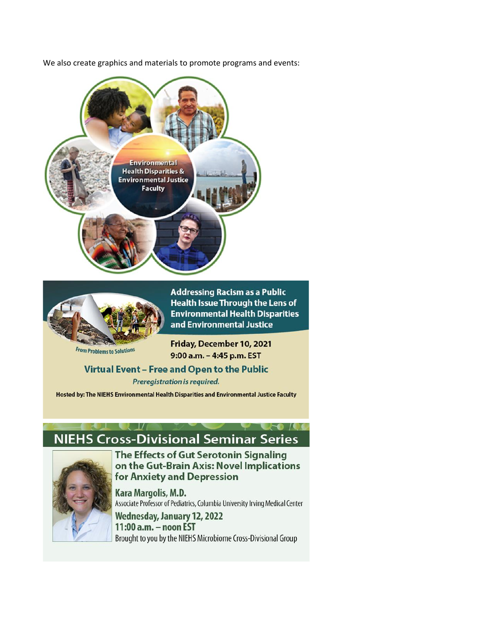We also create graphics and materials to promote programs and events:





**Addressing Racism as a Public Health Issue Through the Lens of Environmental Health Disparities** and Environmental Justice

**From Problems to Solutions** 

Friday, December 10, 2021 9:00 a.m. - 4:45 p.m. EST

# Virtual Event - Free and Open to the Public

Preregistration is required.

Hosted by: The NIEHS Environmental Health Disparities and Environmental Justice Faculty

# **NIEHS Cross-Divisional Seminar Series**



The Effects of Gut Serotonin Signaling on the Gut-Brain Axis: Novel Implications for Anxiety and Depression

Kara Margolis, M.D. Associate Professor of Pediatrics, Columbia University Irving Medical Center

Wednesday, January 12, 2022 11:00 a.m. - noon EST Brought to you by the NIEHS Microbiome Cross-Divisional Group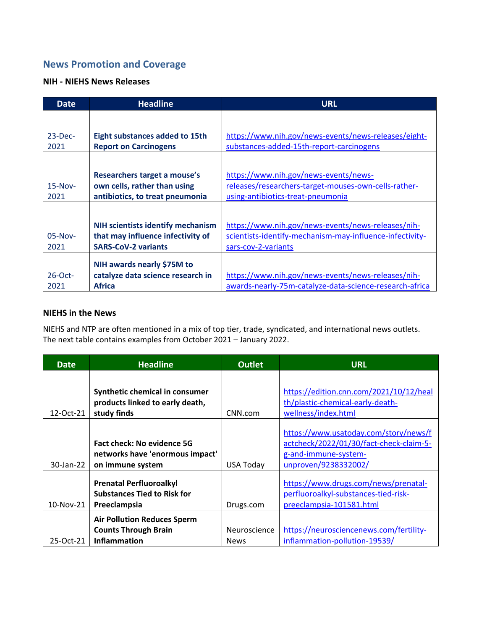# **News Promotion and Coverage**

## **NIH - NIEHS News Releases**

| Date               | <b>Headline</b>                                                                                             | <b>URL</b>                                                                                                                            |
|--------------------|-------------------------------------------------------------------------------------------------------------|---------------------------------------------------------------------------------------------------------------------------------------|
|                    |                                                                                                             |                                                                                                                                       |
| $23$ -Dec-<br>2021 | <b>Eight substances added to 15th</b><br><b>Report on Carcinogens</b>                                       | https://www.nih.gov/news-events/news-releases/eight-<br>substances-added-15th-report-carcinogens                                      |
|                    |                                                                                                             |                                                                                                                                       |
| $15-Nov-$<br>2021  | Researchers target a mouse's<br>own cells, rather than using<br>antibiotics, to treat pneumonia             | https://www.nih.gov/news-events/news-<br>releases/researchers-target-mouses-own-cells-rather-<br>using-antibiotics-treat-pneumonia    |
|                    |                                                                                                             |                                                                                                                                       |
| $05-Nov-$<br>2021  | <b>NIH scientists identify mechanism</b><br>that may influence infectivity of<br><b>SARS-CoV-2 variants</b> | https://www.nih.gov/news-events/news-releases/nih-<br>scientists-identify-mechanism-may-influence-infectivity-<br>sars-cov-2-variants |
| $26$ -Oct-<br>2021 | NIH awards nearly \$75M to<br>catalyze data science research in<br><b>Africa</b>                            | https://www.nih.gov/news-events/news-releases/nih-<br>awards-nearly-75m-catalyze-data-science-research-africa                         |

### **NIEHS in the News**

NIEHS and NTP are often mentioned in a mix of top tier, trade, syndicated, and international news outlets. The next table contains examples from October 2021 – January 2022.

| Date      | <b>Headline</b>                                                      | <b>Outlet</b>    | <b>URL</b>                                                                   |
|-----------|----------------------------------------------------------------------|------------------|------------------------------------------------------------------------------|
|           |                                                                      |                  |                                                                              |
|           | Synthetic chemical in consumer                                       |                  | https://edition.cnn.com/2021/10/12/heal                                      |
|           | products linked to early death,                                      |                  | th/plastic-chemical-early-death-                                             |
| 12-Oct-21 | study finds                                                          | CNN.com          | wellness/index.html                                                          |
|           |                                                                      |                  | https://www.usatoday.com/story/news/f                                        |
|           | <b>Fact check: No evidence 5G</b>                                    |                  | actcheck/2022/01/30/fact-check-claim-5-                                      |
|           | networks have 'enormous impact'                                      |                  | g-and-immune-system-                                                         |
| 30-Jan-22 | on immune system                                                     | <b>USA Today</b> | unproven/9238332002/                                                         |
|           | <b>Prenatal Perfluoroalkyl</b><br><b>Substances Tied to Risk for</b> |                  | https://www.drugs.com/news/prenatal-<br>perfluoroalkyl-substances-tied-risk- |
| 10-Nov-21 | Preeclampsia                                                         | Drugs.com        | preeclampsia-101581.html                                                     |
|           | <b>Air Pollution Reduces Sperm</b>                                   |                  |                                                                              |
|           | <b>Counts Through Brain</b>                                          | Neuroscience     | https://neurosciencenews.com/fertility-                                      |
| 25-Oct-21 | Inflammation                                                         | <b>News</b>      | inflammation-pollution-19539/                                                |